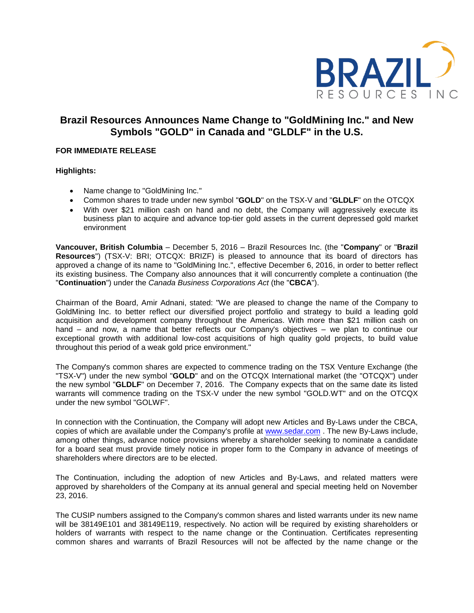

# **Brazil Resources Announces Name Change to "GoldMining Inc." and New Symbols "GOLD" in Canada and "GLDLF" in the U.S.**

## **FOR IMMEDIATE RELEASE**

## **Highlights:**

- Name change to "GoldMining Inc."
- Common shares to trade under new symbol "**GOLD**" on the TSX-V and "**GLDLF**" on the OTCQX
- With over \$21 million cash on hand and no debt, the Company will aggressively execute its business plan to acquire and advance top-tier gold assets in the current depressed gold market environment

**Vancouver, British Columbia** – December 5, 2016 – Brazil Resources Inc. (the "**Company**" or "**Brazil Resources**") (TSX-V: BRI; OTCQX: BRIZF) is pleased to announce that its board of directors has approved a change of its name to "GoldMining Inc.", effective December 6, 2016, in order to better reflect its existing business. The Company also announces that it will concurrently complete a continuation (the "**Continuation**") under the *Canada Business Corporations Act* (the "**CBCA**").

Chairman of the Board, Amir Adnani, stated: "We are pleased to change the name of the Company to GoldMining Inc. to better reflect our diversified project portfolio and strategy to build a leading gold acquisition and development company throughout the Americas. With more than \$21 million cash on hand – and now, a name that better reflects our Company's objectives – we plan to continue our exceptional growth with additional low-cost acquisitions of high quality gold projects, to build value throughout this period of a weak gold price environment."

The Company's common shares are expected to commence trading on the TSX Venture Exchange (the "TSX-V") under the new symbol "**GOLD**" and on the OTCQX International market (the "OTCQX") under the new symbol "**GLDLF**" on December 7, 2016. The Company expects that on the same date its listed warrants will commence trading on the TSX-V under the new symbol "GOLD.WT" and on the OTCQX under the new symbol "GOLWF".

In connection with the Continuation, the Company will adopt new Articles and By-Laws under the CBCA, copies of which are available under the Company's profile at [www.sedar.com](http://www.sedar.com/) . The new By-Laws include, among other things, advance notice provisions whereby a shareholder seeking to nominate a candidate for a board seat must provide timely notice in proper form to the Company in advance of meetings of shareholders where directors are to be elected.

The Continuation, including the adoption of new Articles and By-Laws, and related matters were approved by shareholders of the Company at its annual general and special meeting held on November 23, 2016.

The CUSIP numbers assigned to the Company's common shares and listed warrants under its new name will be 38149E101 and 38149E119, respectively. No action will be required by existing shareholders or holders of warrants with respect to the name change or the Continuation. Certificates representing common shares and warrants of Brazil Resources will not be affected by the name change or the